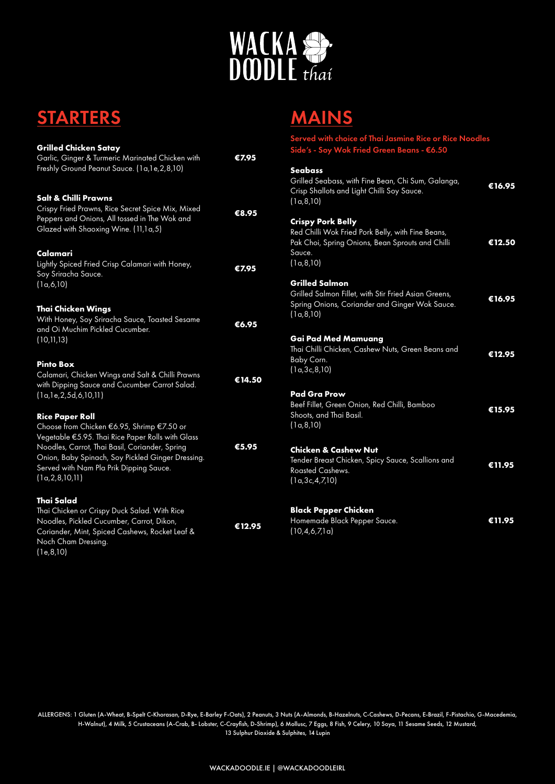

# **STARTERS**

| <b>Grilled Chicken Satay</b><br>Garlic, Ginger & Turmeric Marinated Chicken with<br>Freshly Ground Peanut Sauce. (1a,1e,2,8,10)                                                                                                                                                                          | €7.95  |
|----------------------------------------------------------------------------------------------------------------------------------------------------------------------------------------------------------------------------------------------------------------------------------------------------------|--------|
| Salt & Chilli Prawns<br>Crispy Fried Prawns, Rice Secret Spice Mix, Mixed<br>Peppers and Onions, All tossed in The Wok and<br>Glazed with Shaoxing Wine. (11,1a,5)                                                                                                                                       | €8.95  |
| Calamari<br>Lightly Spiced Fried Crisp Calamari with Honey,<br>Soy Sriracha Sauce.<br>(1a, 6, 10)                                                                                                                                                                                                        | €7.95  |
| <b>Thai Chicken Wings</b><br>With Honey, Soy Sriracha Sauce, Toasted Sesame<br>and Oi Muchim Pickled Cucumber.<br>(10, 11, 13)                                                                                                                                                                           | €6.95  |
| <b>Pinto Box</b><br>Calamari, Chicken Wings and Salt & Chilli Prawns<br>with Dipping Sauce and Cucumber Carrot Salad.<br>(la, le, 2, 5d, 6, 10, 11)                                                                                                                                                      | €14.50 |
| <b>Rice Paper Roll</b><br>Choose from Chicken €6.95, Shrimp €7.50 or<br>Vegetable €5.95. Thai Rice Paper Rolls with Glass<br>Noodles, Carrot, Thai Basil, Coriander, Spring<br>Onion, Baby Spinach, Soy Pickled Ginger Dressing.<br>Served with Nam Pla Prik Dipping Sauce.<br>$(l\alpha, 2, 8, 10, 11)$ | €5.95  |
| <b>Thai Salad</b><br>Thai Chicken or Crispy Duck Salad. With Rice<br>Noodles, Pickled Cucumber, Carrot, Dikon,<br>Coriander, Mint, Spiced Cashews, Rocket Leaf &<br>Noch Cham Dressing.<br>(1e, 8, 10)                                                                                                   | €12.95 |

# MAINS

| Served with choice of Thai Jasmine Rice or Rice Noodles<br>Side's - Soy Wok Fried Green Beans - €6.50                                                      |                             |
|------------------------------------------------------------------------------------------------------------------------------------------------------------|-----------------------------|
| <b>Seabass</b><br>Grilled Seabass, with Fine Bean, Chi Sum, Galanga,<br>Crisp Shallots and Light Chilli Soy Sauce.<br>(1a, 8, 10)                          | $\overline{\epsilon}$ 16.95 |
| <b>Crispy Pork Belly</b><br>Red Chilli Wok Fried Pork Belly, with Fine Beans,<br>Pak Choi, Spring Onions, Bean Sprouts and Chilli<br>Sauce.<br>(1a, 8, 10) | €12.50                      |
| Grilled Salmon<br>Grilled Salmon Fillet, with Stir Fried Asian Greens,<br>Spring Onions, Coriander and Ginger Wok Sauce.<br>(1a, 8, 10)                    | €16.95                      |
| Gai Pad Med Mamuang<br>Thai Chilli Chicken, Cashew Nuts, Green Beans and<br>Baby Corn.<br>(1a, 3c, 8, 10)                                                  | €12.95                      |
| <b>Pad Gra Prow</b><br>Beef Fillet, Green Onion, Red Chilli, Bamboo<br>Shoots, and Thai Basil.<br>(1a, 8, 10)                                              | €15.95                      |
| <b>Chicken &amp; Cashew Nut</b><br>Tender Breast Chicken, Spicy Sauce, Scallions and<br>Roasted Cashews.<br>(1a, 3c, 4, 7, 10)                             | €11.95                      |
| <b>Black Pepper Chicken</b><br>Homemade Black Pepper Sauce.<br>(10, 4, 6, 7, 1a)                                                                           | €11.95                      |

ALLERGENS: 1 Gluten (A-Wheat, B-Spelt C-Khorasan, D-Rye, E-Barley F-Oats), 2 Peanuts, 3 Nuts (A-Almonds, B-Hazelnuts, C-Cashews, D-Pecans, E-Brazil, F-Pistachio, G-Macedemia, H-Walnut), 4 Milk, 5 Crustaceans (A-Crab, B- Lobster, C-Crayfish, D-Shrimp), 6 Mollusc, 7 Eggs, 8 Fish, 9 Celery, 10 Soya, 11 Sesame Seeds, 12 Mustard, 13 Sulphur Dioxide & Sulphites, 14 Lupin